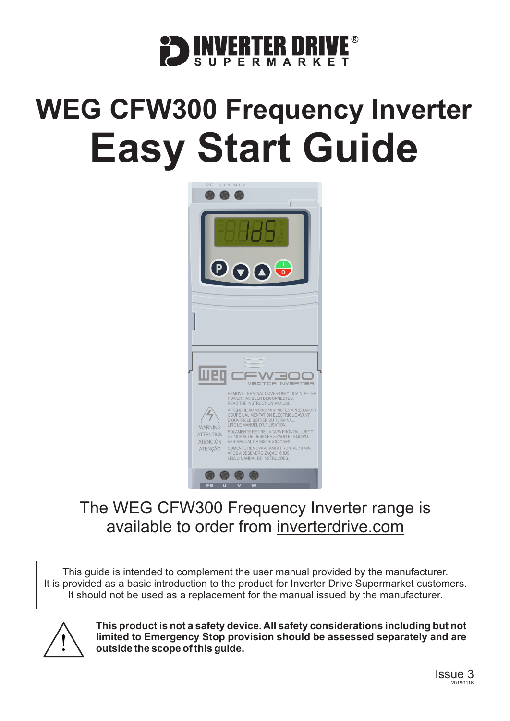

# **WEG CFW300 Frequency Inverter Easy Start Guide**



### The WEG CFW300 Frequency Inverter range is available to order from [inverterdrive.com](https://inverterdrive.com/m/WEG/CFW300/)

This guide is intended to complement the user manual provided by the manufacturer. It is provided as a basic introduction to the product for Inverter Drive Supermarket customers. It should not be used as a replacement for the manual issued by the manufacturer.



**This product is not a safety device. All safety considerations including but not limited to Emergency Stop provision should be assessed separately and are outside the scope of this guide.**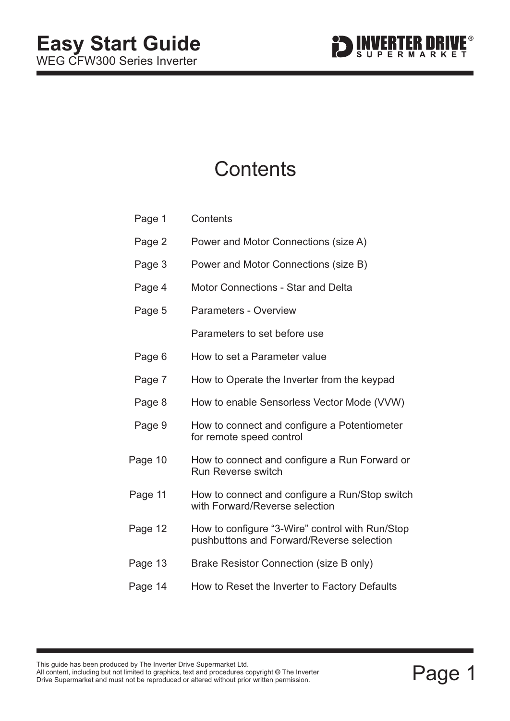

## **Contents**

| Page 1  | Contents                                                                                     |
|---------|----------------------------------------------------------------------------------------------|
| Page 2  | Power and Motor Connections (size A)                                                         |
| Page 3  | Power and Motor Connections (size B)                                                         |
| Page 4  | <b>Motor Connections - Star and Delta</b>                                                    |
| Page 5  | <b>Parameters - Overview</b>                                                                 |
|         | Parameters to set before use                                                                 |
| Page 6  | How to set a Parameter value                                                                 |
| Page 7  | How to Operate the Inverter from the keypad                                                  |
| Page 8  | How to enable Sensorless Vector Mode (VVW)                                                   |
| Page 9  | How to connect and configure a Potentiometer<br>for remote speed control                     |
| Page 10 | How to connect and configure a Run Forward or<br><b>Run Reverse switch</b>                   |
| Page 11 | How to connect and configure a Run/Stop switch<br>with Forward/Reverse selection             |
| Page 12 | How to configure "3-Wire" control with Run/Stop<br>pushbuttons and Forward/Reverse selection |
| Page 13 | Brake Resistor Connection (size B only)                                                      |
| Page 14 | How to Reset the Inverter to Factory Defaults                                                |
|         |                                                                                              |

**©**

This guide has been produced by The Inverter Drive Supermarket Ltd.<br>All content, including but not limited to graphics, text and procedures copyright © The Inverter<br>Drive Supermarket and must not be reproduced or altered w All content, including but not limited to graphics, text and procedures copyright © The Inverter Drive Supermarket and must not be reproduced or altered without prior written permission.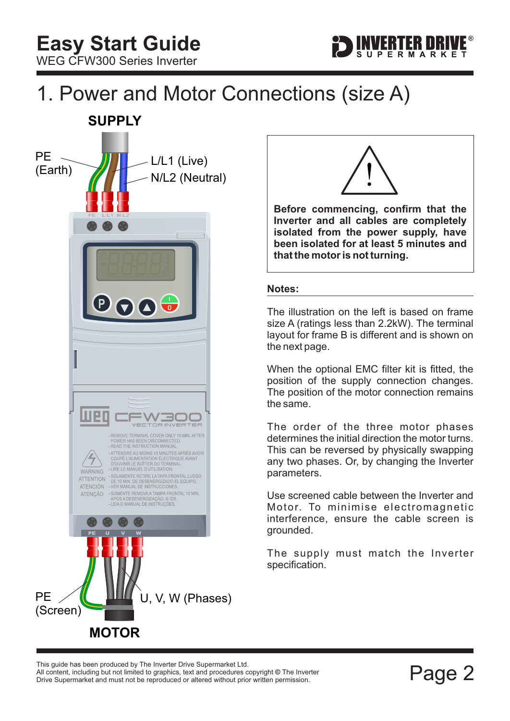## <span id="page-2-0"></span>1. Power and Motor Connections (size A)





**Before commencing, confirm that the Inverter and all cables are completely isolated from the power supply, have been isolated for at least 5 minutes and that the motor is not turning.**

#### **Notes:**

The illustration on the left is based on frame size A (ratings less than 2.2kW). The terminal layout for frame B is different and is shown on the next page.

When the optional EMC filter kit is fitted, the position of the supply connection changes. The position of the motor connection remains the same.

The order of the three motor phases determines the initial direction the motor turns. This can be reversed by physically swapping any two phases. Or, by changing the Inverter parameters.

Use screened cable between the Inverter and Motor. To minimise electromagnetic interference, ensure the cable screen is grounded.

The supply must match the Inverter specification.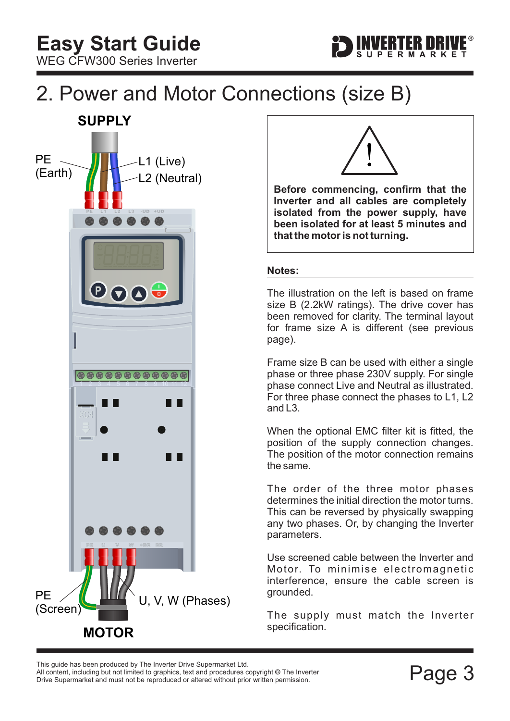

## <span id="page-3-0"></span>2. Power and Motor Connections (size B)





**Before commencing, confirm that the Inverter and all cables are completely isolated from the power supply, have been isolated for at least 5 minutes and that the motor is not turning.**

#### **Notes:**

The illustration on the left is based on frame size B (2.2kW ratings). The drive cover has been removed for clarity. The terminal layout for frame size A is different (see previous page).

Frame size B can be used with either a single phase or three phase 230V supply. For single phase connect Live and Neutral as illustrated. For three phase connect the phases to L1, L2 and L3.

When the optional EMC filter kit is fitted, the position of the supply connection changes. The position of the motor connection remains the same.

The order of the three motor phases determines the initial direction the motor turns. This can be reversed by physically swapping any two phases. Or, by changing the Inverter parameters.

Use screened cable between the Inverter and Motor. To minimise electromagnetic interference, ensure the cable screen is grounded.

The supply must match the Inverter specification.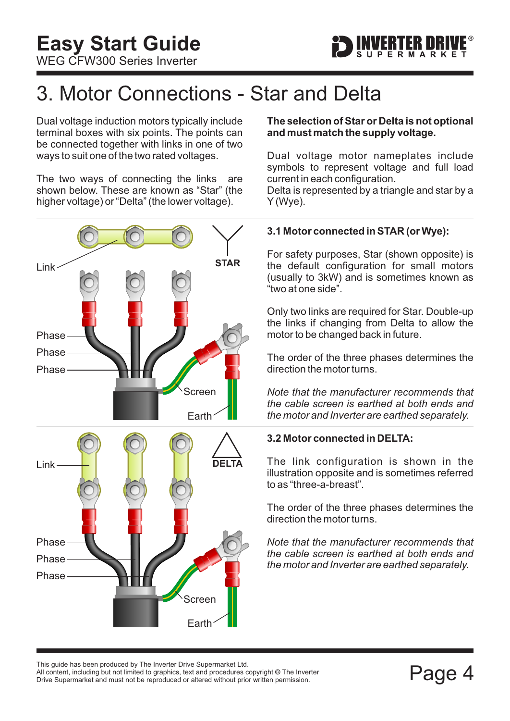

## <span id="page-4-0"></span>3. Motor Connections - Star and Delta

Dual voltage induction motors typically include terminal boxes with six points. The points can be connected together with links in one of two ways to suit one of the two rated voltages.

The two ways of connecting the links are shown below. These are known as "Star" (the higher voltage) or "Delta" (the lower voltage).



#### **The selection of Star or Delta is not optional and must match the supply voltage.**

Dual voltage motor nameplates include symbols to represent voltage and full load current in each configuration.

Delta is represented by a triangle and star by a Y (Wye).

#### **3.1 Motor connected in STAR (or Wye):**

For safety purposes, Star (shown opposite) is the default configuration for small motors (usually to 3kW) and is sometimes known as "two at one side".

Only two links are required for Star. Double-up the links if changing from Delta to allow the motor to be changed back in future.

The order of the three phases determines the direction the motor turns.

*Note that the manufacturer recommends that the cable screen is earthed at both ends and the motor and Inverter are earthed separately.*

#### **3.2 Motor connected in DELTA:**

The link configuration is shown in the illustration opposite and is sometimes referred to as "three-a-breast".

The order of the three phases determines the direction the motor turns.

*Note that the manufacturer recommends that the cable screen is earthed at both ends and the motor and Inverter are earthed separately.*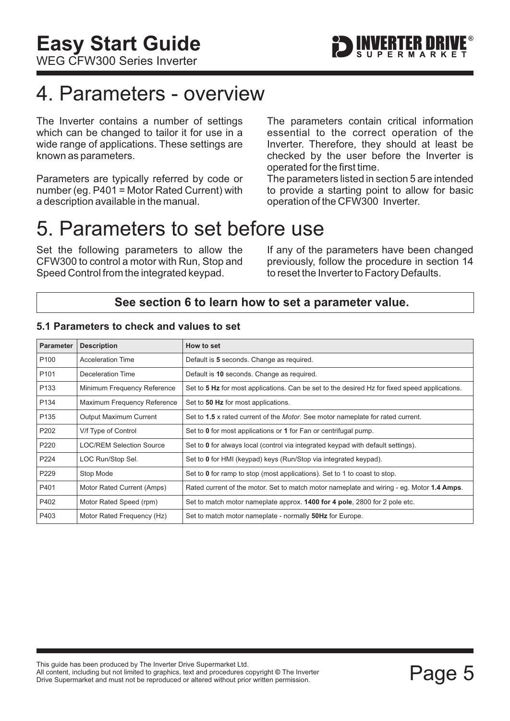## <span id="page-5-0"></span>4. Parameters - overview

The Inverter contains a number of settings which can be changed to tailor it for use in a wide range of applications. These settings are known as parameters.

Parameters are typically referred by code or number (eg. P401 = Motor Rated Current) with a description available in the manual.

The parameters contain critical information essential to the correct operation of the Inverter. Therefore, they should at least be checked by the user before the Inverter is operated for the first time.

The parameters listed in section 5 are intended to provide a starting point to allow for basic operation of the CFW300 Inverter.

### 5. Parameters to set before use

Set the following parameters to allow the CFW300 to control a motor with Run, Stop and Speed Control from the integrated keypad.

If any of the parameters have been changed previously, follow the procedure in [section 14](#page-14-0) to reset the Inverter to Factory Defaults.

#### **See [section 6](#page-6-0) to learn how to set a parameter value.**

#### **5.1 Parameters to check and values to set**

| <b>Parameter</b> | <b>Description</b>          | How to set                                                                                    |
|------------------|-----------------------------|-----------------------------------------------------------------------------------------------|
| P <sub>100</sub> | <b>Acceleration Time</b>    | Default is 5 seconds. Change as required.                                                     |
| P <sub>101</sub> | Deceleration Time           | Default is 10 seconds. Change as required.                                                    |
| P <sub>133</sub> | Minimum Frequency Reference | Set to 5 Hz for most applications. Can be set to the desired Hz for fixed speed applications. |
| P <sub>134</sub> | Maximum Frequency Reference | Set to 50 Hz for most applications.                                                           |
| P <sub>135</sub> | Output Maximum Current      | Set to 1.5 x rated current of the <i>Motor</i> . See motor nameplate for rated current.       |
| P <sub>202</sub> | V/f Type of Control         | Set to 0 for most applications or 1 for Fan or centrifugal pump.                              |
| P <sub>220</sub> | LOC/REM Selection Source    | Set to 0 for always local (control via integrated keypad with default settings).              |
| P224             | LOC Run/Stop Sel.           | Set to 0 for HMI (keypad) keys (Run/Stop via integrated keypad).                              |
| P229             | Stop Mode                   | Set to 0 for ramp to stop (most applications). Set to 1 to coast to stop.                     |
| P401             | Motor Rated Current (Amps)  | Rated current of the motor. Set to match motor nameplate and wiring - eg. Motor 1.4 Amps.     |
| P402             | Motor Rated Speed (rpm)     | Set to match motor nameplate approx. <b>1400 for 4 pole</b> , 2800 for 2 pole etc.            |
| P403             | Motor Rated Frequency (Hz)  | Set to match motor nameplate - normally 50Hz for Europe.                                      |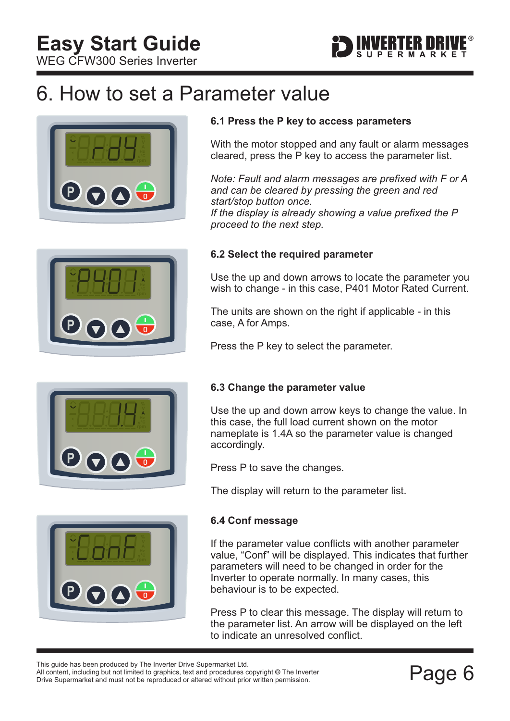<span id="page-6-0"></span>WEG CFW300 Series Inverter



## 6. How to set a Parameter value









#### **6.1 Press the P key to access parameters**

With the motor stopped and any fault or alarm messages cleared, press the P key to access the parameter list.

*If the display is already showing a value prefixed the P proceed to the next step. Note: Fault and alarm messages are prefixed with F or A and can be cleared by pressing the green and red start/stop button once.*

#### **6.2 Select the required parameter**

Use the up and down arrows to locate the parameter you wish to change - in this case, P401 Motor Rated Current.

The units are shown on the right if applicable - in this case, A for Amps.

Press the P key to select the parameter.

#### **6.3 Change the parameter value**

Use the up and down arrow keys to change the value. In this case, the full load current shown on the motor nameplate is 1.4A so the parameter value is changed accordingly.

Press P to save the changes.

The display will return to the parameter list.

#### **6.4 Conf message**

If the parameter value conflicts with another parameter value, "Conf" will be displayed. This indicates that further parameters will need to be changed in order for the Inverter to operate normally. In many cases, this behaviour is to be expected.

Press P to clear this message. The display will return to the parameter list. An arrow will be displayed on the left to indicate an unresolved conflict.

All content, including but not limited to graphics, text and procedures copyright © The Inverter

This guide has been produced by The Inverter Drive Supermarket Ltd.<br>All content, including but not limited to graphics, text and procedures copyright © The Inverter<br>Drive Supermarket and must not be reproduced or altered w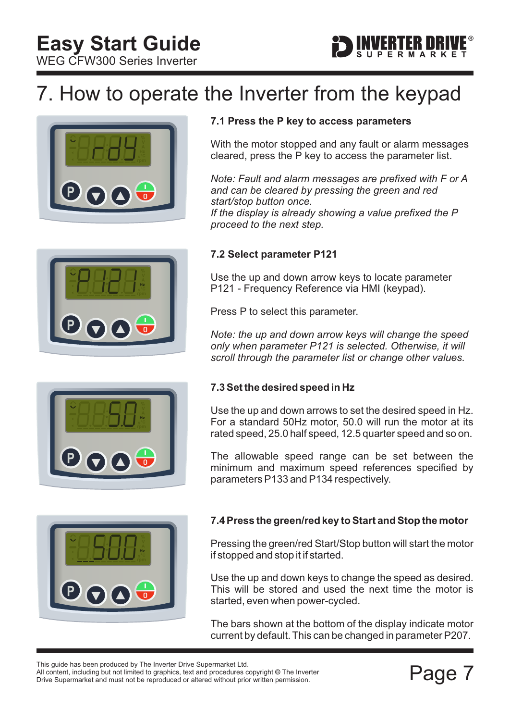<span id="page-7-0"></span>WEG CFW300 Series Inverter

## 7. How to operate the Inverter from the keypad









#### **7.1 Press the P key to access parameters**

With the motor stopped and any fault or alarm messages cleared, press the P key to access the parameter list.

*If the display is already showing a value prefixed the P proceed to the next step. Note: Fault and alarm messages are prefixed with F or A and can be cleared by pressing the green and red start/stop button once.*

#### **7.2 Select parameter P121**

Use the up and down arrow keys to locate parameter P121 - Frequency Reference via HMI (keypad).

Press P to select this parameter.

*Note: the up and down arrow keys will change the speed only when parameter P121 is selected. Otherwise, it will scroll through the parameter list or change other values.*

#### **7.3 Set the desired speed in Hz**

Use the up and down arrows to set the desired speed in Hz. For a standard 50Hz motor, 50.0 will run the motor at its rated speed, 25.0 half speed, 12.5 quarter speed and so on.

The allowable speed range can be set between the minimum and maximum speed references specified by parameters P133 and P134 respectively.

#### **7.4 Press the green/red key to Start and Stop the motor**

Pressing the green/red Start/Stop button will start the motor if stopped and stop it if started.

Use the up and down keys to change the speed as desired. This will be stored and used the next time the motor is started, even when power-cycled.

The bars shown at the bottom of the display indicate motor current by default. This can be changed in parameter P207.

All content, including but not limited to graphics, text and procedures copyright © The Inverter This guide has been produced by The Inverter Drive Supermarket Ltd.

This guide rias been produced by The Inverter Drive Supermarket Etd.<br>All content, including but not limited to graphics, text and procedures copyright © The Inverter<br>Drive Supermarket and must not be reproduced or altered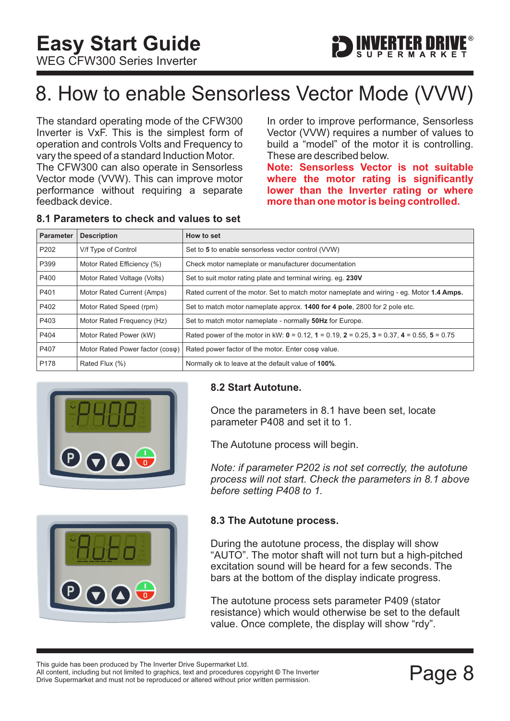## <span id="page-8-0"></span>8. How to enable Sensorless Vector Mode (VVW)

The standard operating mode of the CFW300 Inverter is VxF. This is the simplest form of operation and controls Volts and Frequency to vary the speed of a standard Induction Motor.

The CFW300 can also operate in Sensorless Vector mode (VVW). This can improve motor performance without requiring a separate feedback device.

In order to improve performance, Sensorless Vector (VVW) requires a number of values to build a "model" of the motor it is controlling. These are described below.

FRTFR NRI

**Note: Sensorless Vector is not suitable where the motor rating is significantly lower than the Inverter rating or where more than one motor is being controlled.**

| Parameter        | <b>Description</b>              | How to set                                                                                                  |
|------------------|---------------------------------|-------------------------------------------------------------------------------------------------------------|
| P <sub>202</sub> | V/f Type of Control             | Set to 5 to enable sensorless vector control (VVW)                                                          |
| P399             | Motor Rated Efficiency (%)      | Check motor nameplate or manufacturer documentation                                                         |
| P400             | Motor Rated Voltage (Volts)     | Set to suit motor rating plate and terminal wiring. eq. 230V                                                |
| P401             | Motor Rated Current (Amps)      | Rated current of the motor. Set to match motor nameplate and wiring - eq. Motor 1.4 Amps.                   |
| P402             | Motor Rated Speed (rpm)         | Set to match motor nameplate approx. <b>1400 for 4 pole</b> , 2800 for 2 pole etc.                          |
| P403             | Motor Rated Frequency (Hz)      | Set to match motor nameplate - normally 50Hz for Europe.                                                    |
| P404             | Motor Rated Power (kW)          | Rated power of the motor in kW: $0 = 0.12$ , $1 = 0.19$ , $2 = 0.25$ , $3 = 0.37$ , $4 = 0.55$ , $5 = 0.75$ |
| P407             | Motor Rated Power factor (coso) | Rated power factor of the motor. Enter coso value.                                                          |
| P <sub>178</sub> | Rated Flux (%)                  | Normally ok to leave at the default value of 100%.                                                          |

#### **8.1 Parameters to check and values to set**





#### **8.2 Start Autotune.**

Once the parameters in 8.1 have been set, locate parameter P408 and set it to 1.

The Autotune process will begin.

*Note: if parameter P202 is not set correctly, the autotune process will not start. Check the parameters in 8.1 above before setting P408 to 1.*

#### **8.3 The Autotune process.**

During the autotune process, the display will show "AUTO". The motor shaft will not turn but a high-pitched excitation sound will be heard for a few seconds. The bars at the bottom of the display indicate progress.

The autotune process sets parameter P409 (stator resistance) which would otherwise be set to the default value. Once complete, the display will show "rdy".

Filis guide rias been produced by The Inverter Drive Supermarket Etd.<br>All content, including but not limited to graphics, text and procedures copyright © The Inverter<br>Drive Supermarket and must not be reproduced or altered All content, including but not limited to graphics, text and procedures copyright © The Inverter This guide has been produced by The Inverter Drive Supermarket Ltd.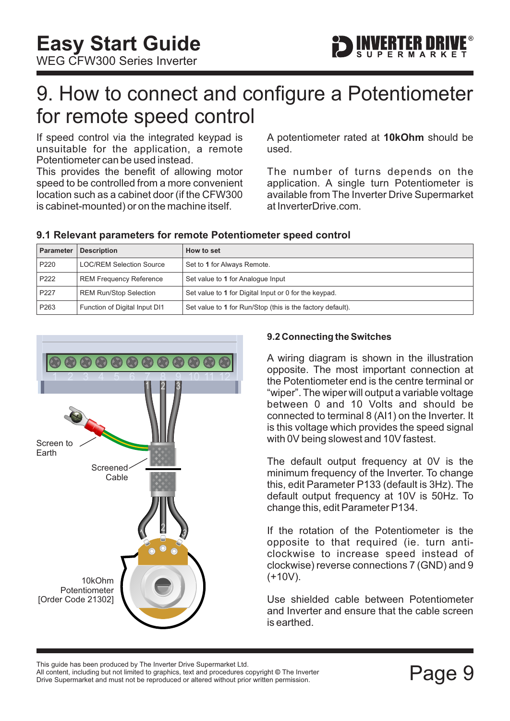<span id="page-9-0"></span>WEG CFW300 Series Inverter



### 9. How to connect and configure a Potentiometer for remote speed control

If speed control via the integrated keypad is unsuitable for the application, a remote Potentiometer can be used instead.

This provides the benefit of allowing motor speed to be controlled from a more convenient location such as a cabinet door (if the CFW300 is cabinet-mounted) or on the machine itself.

A potentiometer rated at 10kOhm should be used.

The number of turns depends on the application. A single turn Potentiometer is available from The Inverter Drive Supermarket at InverterDrive.com.

| Parameter | <b>Description</b>              | How to set                                                 |
|-----------|---------------------------------|------------------------------------------------------------|
| P220      | <b>LOC/REM Selection Source</b> | Set to 1 for Always Remote.                                |
| P222      | <b>REM Frequency Reference</b>  | Set value to 1 for Analogue Input                          |
| P227      | <b>REM Run/Stop Selection</b>   | Set value to 1 for Digital Input or 0 for the keypad.      |
| P263      | Function of Digital Input DI1   | Set value to 1 for Run/Stop (this is the factory default). |

#### **9.1 Relevant parameters for remote Potentiometer speed control**



#### **9.2 Connecting the Switches**

A wiring diagram is shown in the illustration opposite. The most important connection at the Potentiometer end is the centre terminal or "wiper". The wiper will output a variable voltage between 0 and 10 Volts and should be connected to terminal 8 (AI1) on the Inverter. It is this voltage which provides the speed signal with 0V being slowest and 10V fastest.

The default output frequency at 0V is the minimum frequency of the Inverter. To change this, edit Parameter P133 (default is 3Hz). The default output frequency at 10V is 50Hz. To change this, edit Parameter P134.

If the rotation of the Potentiometer is the opposite to that required (ie. turn anticlockwise to increase speed instead of clockwise) reverse connections 7 (GND) and 9  $(+10V)$ .

Use shielded cable between Potentiometer and Inverter and ensure that the cable screen is earthed.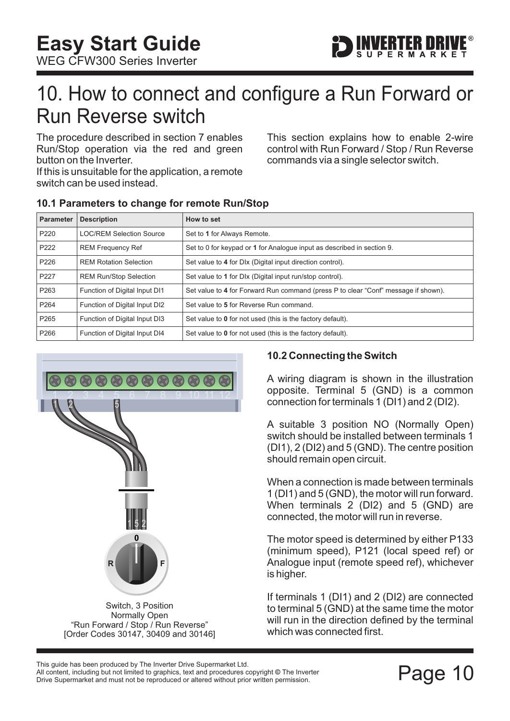

### <span id="page-10-0"></span>10. How to connect and configure a Run Forward or Run Reverse switch

The procedure described in [section 7](#page-7-0) enables Run/Stop operation via the red and green button on the Inverter.

If this is unsuitable for the application, a remote switch can be used instead.

This section explains how to enable 2-wire control with Run Forward / Stop / Run Reverse commands via a single selector switch.

| Parameter        | <b>Description</b>              | How to set                                                                         |
|------------------|---------------------------------|------------------------------------------------------------------------------------|
| P <sub>220</sub> | <b>LOC/REM Selection Source</b> | Set to 1 for Always Remote.                                                        |
| P <sub>222</sub> | <b>REM Frequency Ref</b>        | Set to 0 for keypad or 1 for Analogue input as described in section 9.             |
| P226             | <b>REM Rotation Selection</b>   | Set value to 4 for DIx (Digital input direction control).                          |
| P227             | <b>REM Run/Stop Selection</b>   | Set value to 1 for Dlx (Digital input run/stop control).                           |
| P <sub>263</sub> | Function of Digital Input DI1   | Set value to 4 for Forward Run command (press P to clear "Conf" message if shown). |
| P <sub>264</sub> | Function of Digital Input DI2   | Set value to 5 for Reverse Run command.                                            |
| P <sub>265</sub> | Function of Digital Input DI3   | Set value to 0 for not used (this is the factory default).                         |
| P <sub>266</sub> | Function of Digital Input DI4   | Set value to 0 for not used (this is the factory default).                         |

#### **10.1 Parameters to change for remote Run/Stop**



#### **10.2 Connecting the Switch**

A wiring diagram is shown in the illustration opposite. Terminal 5 (GND) is a common connection for terminals 1 (DI1) and 2 (DI2).

A suitable 3 position NO (Normally Open) switch should be installed between terminals 1 (DI1), 2 (DI2) and 5 (GND). The centre position should remain open circuit.

When a connection is made between terminals 1 (DI1) and 5 (GND), the motor will run forward. When terminals 2 (DI2) and 5 (GND) are connected, the motor will run in reverse.

The motor speed is determined by either P133 (minimum speed), P121 (local speed ref) or Analogue input (remote speed ref), whichever is higher.

If terminals 1 (DI1) and 2 (DI2) are connected to terminal 5 (GND) at the same time the motor will run in the direction defined by the terminal which was connected first.

Filis guide rias been produced by The Inverter Drive Supermarket Etd.<br>All content, including but not limited to graphics, text and procedures copyright © The Inverter<br>Drive Supermarket and must not be reproduced or altered All content, including but not limited to graphics, text and procedures copyright © The Inverter This guide has been produced by The Inverter Drive Supermarket Ltd.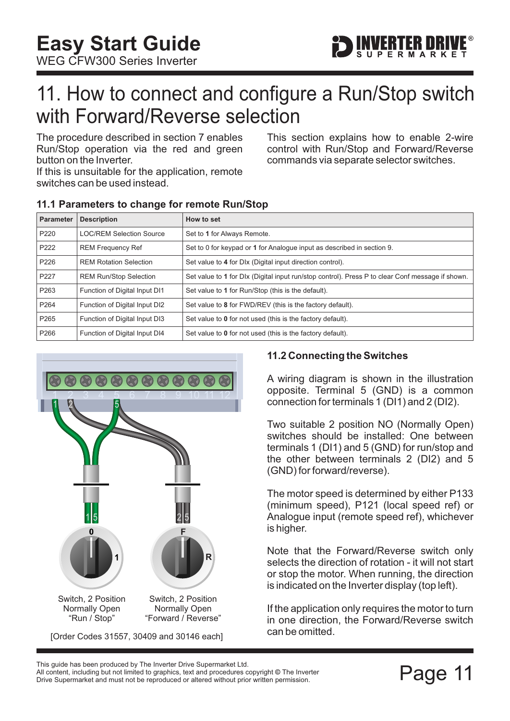

### <span id="page-11-0"></span>11. How to connect and configure a Run/Stop switch with Forward/Reverse selection

The procedure described in [section 7](#page-7-0) enables Run/Stop operation via the red and green button on the Inverter.

If this is unsuitable for the application, remote switches can be used instead.

This section explains how to enable 2-wire control with Run/Stop and Forward/Reverse commands via separate selector switches.

| <b>Parameter</b> | <b>Description</b>              | How to set                                                                                       |
|------------------|---------------------------------|--------------------------------------------------------------------------------------------------|
| P <sub>220</sub> | <b>LOC/REM Selection Source</b> | Set to 1 for Always Remote.                                                                      |
| P222             | <b>REM Frequency Ref</b>        | Set to 0 for keypad or 1 for Analogue input as described in section 9.                           |
| P226             | <b>REM Rotation Selection</b>   | Set value to 4 for DIx (Digital input direction control).                                        |
| P227             | <b>REM Run/Stop Selection</b>   | Set value to 1 for DIx (Digital input run/stop control). Press P to clear Conf message if shown. |
| P <sub>263</sub> | Function of Digital Input DI1   | Set value to 1 for Run/Stop (this is the default).                                               |
| P <sub>264</sub> | Function of Digital Input DI2   | Set value to 8 for FWD/REV (this is the factory default).                                        |
| P <sub>265</sub> | Function of Digital Input DI3   | Set value to 0 for not used (this is the factory default).                                       |
| P266             | Function of Digital Input DI4   | Set value to 0 for not used (this is the factory default).                                       |

#### **11.1 Parameters to change for remote Run/Stop**



#### **11.2 Connecting the Switches**

A wiring diagram is shown in the illustration opposite. Terminal 5 (GND) is a common connection for terminals 1 (DI1) and 2 (DI2).

Two suitable 2 position NO (Normally Open) switches should be installed: One between terminals 1 (DI1) and 5 (GND) for run/stop and the other between terminals 2 (DI2) and 5 (GND) for forward/reverse).

The motor speed is determined by either P133 (minimum speed), P121 (local speed ref) or Analogue input (remote speed ref), whichever is higher.

Note that the Forward/Reverse switch only selects the direction of rotation - it will not start or stop the motor. When running, the direction is indicated on the Inverter display (top left).

If the application only requires the motor to turn in one direction, the Forward/Reverse switch can be omitted.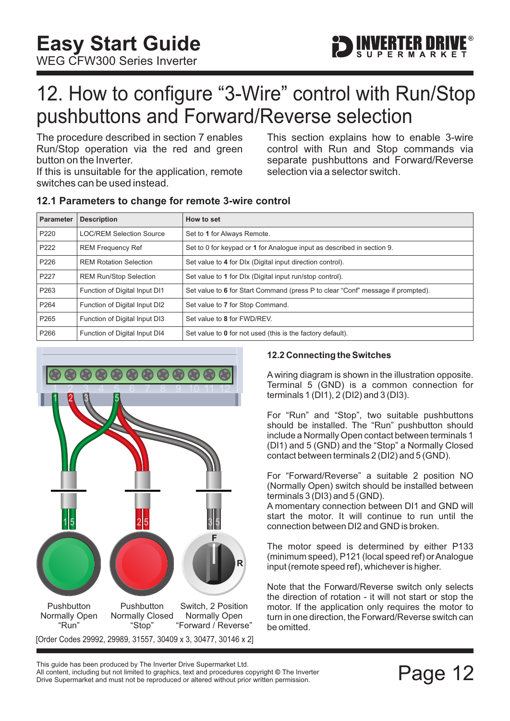<span id="page-12-0"></span>WEG CFW300 Series Inverter



## 12. How to configure "3-Wire" control with Run/Stop pushbuttons and Forward/Reverse selection

The procedure described in [section 7](#page-7-0) enables Run/Stop operation via the red and green button on the Inverter.

If this is unsuitable for the application, remote switches can be used instead.

This section explains how to enable 3-wire control with Run and Stop commands via separate pushbuttons and Forward/Reverse selection via a selector switch.

#### **12.1 Parameters to change for remote 3-wire control**

| <b>Parameter</b> | <b>Description</b>              | How to set                                                                      |
|------------------|---------------------------------|---------------------------------------------------------------------------------|
| P220             | <b>LOC/REM Selection Source</b> | Set to 1 for Always Remote.                                                     |
| P222             | <b>REM Frequency Ref</b>        | Set to 0 for keypad or 1 for Analogue input as described in section 9.          |
| P226             | <b>REM Rotation Selection</b>   | Set value to 4 for DIx (Digital input direction control).                       |
| P227             | <b>REM Run/Stop Selection</b>   | Set value to 1 for DIx (Digital input run/stop control).                        |
| P263             | Function of Digital Input DI1   | Set value to 6 for Start Command (press P to clear "Conf" message if prompted). |
| P <sub>264</sub> | Function of Digital Input DI2   | Set value to 7 for Stop Command.                                                |
| P <sub>265</sub> | Function of Digital Input DI3   | Set value to 8 for FWD/REV.                                                     |
| P266             | Function of Digital Input DI4   | Set value to 0 for not used (this is the factory default).                      |



#### **12.2 Connecting the Switches**

A wiring diagram is shown in the illustration opposite. Terminal 5 (GND) is a common connection for terminals 1 (DI1), 2 (DI2) and 3 (DI3).

For "Run" and "Stop", two suitable pushbuttons should be installed. The "Run" pushbutton should include a Normally Open contact between terminals 1 (DI1) and 5 (GND) and the "Stop" a Normally Closed contact between terminals 2 (DI2) and 5 (GND).

For "Forward/Reverse" a suitable 2 position NO (Normally Open) switch should be installed between terminals 3 (DI3) and 5 (GND).

A momentary connection between DI1 and GND will start the motor. It will continue to run until the connection between DI2 and GND is broken.

The motor speed is determined by either P133 (minimum speed), P121 (local speed ref) or Analogue input (remote speed ref), whichever is higher.

Note that the Forward/Reverse switch only selects the direction of rotation - it will not start or stop the motor. If the application only requires the motor to turn in one direction, the Forward/Reverse switch can be omitted.

This guide has been produced by The Inverter Drive Supermarket Ltd.<br>All content, including but not limited to graphics, text and procedures copyright © The Inverter<br>Drive Supermarket and must not be reproduced or altered w All content, including but not limited to graphics, text and procedures copyright © The Inverter Drive Supermarket and must not be reproduced or altered without prior written permission.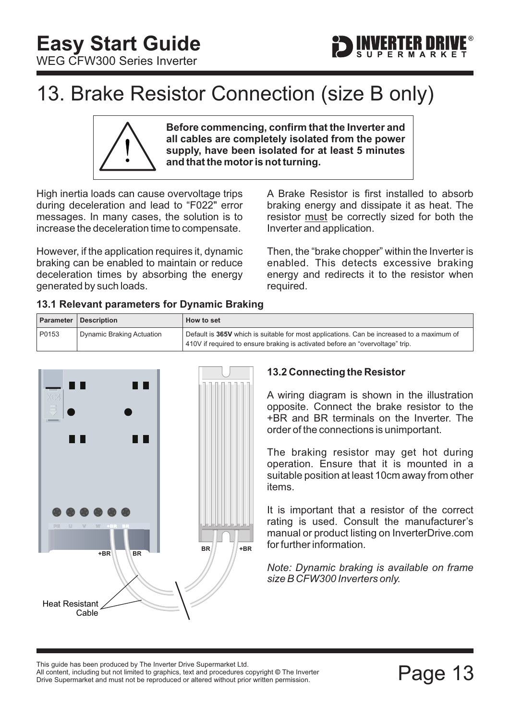<span id="page-13-0"></span>



## 13. Brake Resistor Connection (size B only)

**Before commencing, confirm that the Inverter and all cables are completely isolated from the power supply, have been isolated for at least 5 minutes and that the motor is not turning.**

High inertia loads can cause overvoltage trips during deceleration and lead to "F022" error messages. In many cases, the solution is to increase the deceleration time to compensate.

However, if the application requires it, dynamic braking can be enabled to maintain or reduce deceleration times by absorbing the energy generated by such loads.

A Brake Resistor is first installed to absorb braking energy and dissipate it as heat. The resistor must be correctly sized for both the Inverter and application.

Then, the "brake chopper" within the Inverter is enabled. This detects excessive braking energy and redirects it to the resistor when required.

|  |  | 13.1 Relevant parameters for Dynamic Braking |  |  |  |
|--|--|----------------------------------------------|--|--|--|
|--|--|----------------------------------------------|--|--|--|

|       | <b>Parameter   Description</b> | How to set                                                                                |
|-------|--------------------------------|-------------------------------------------------------------------------------------------|
| P0153 | Dynamic Braking Actuation      | Default is 365V which is suitable for most applications. Can be increased to a maximum of |
|       |                                | 410V if required to ensure braking is activated before an "overvoltage" trip.             |



#### **13.2 Connecting the Resistor**

A wiring diagram is shown in the illustration opposite. Connect the brake resistor to the +BR and BR terminals on the Inverter. The order of the connections is unimportant.

The braking resistor may get hot during operation. Ensure that it is mounted in a suitable position at least 10cm away from other items.

It is important that a resistor of the correct rating is used. Consult the manufacturer's manual or product listing on InverterDrive.com for further information.

*Note: Dynamic braking is available on frame size B CFW300 Inverters only.*